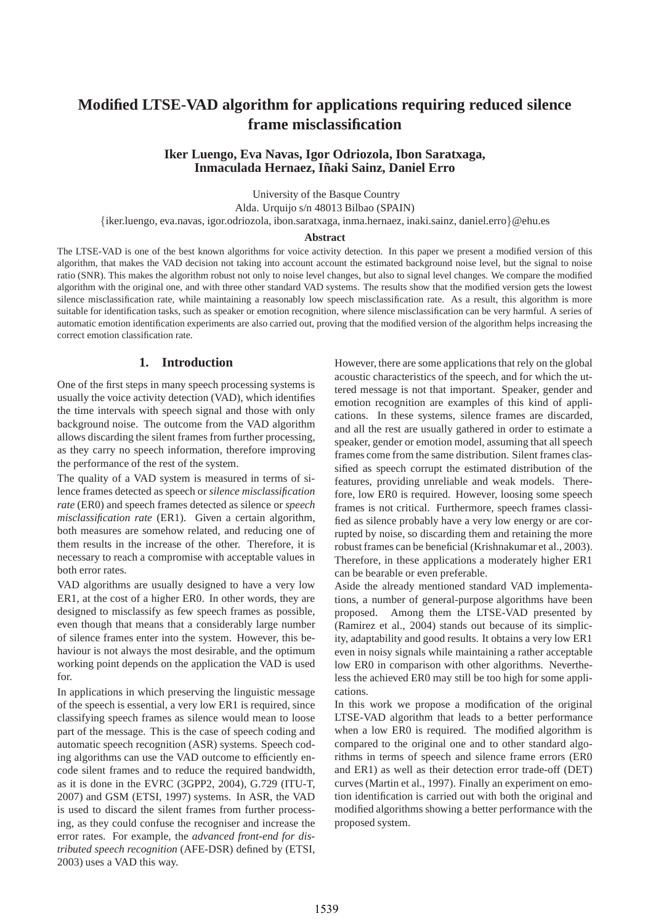# **Modified LTSE-VAD algorithm for applications requiring reduced silence frame misclassification**

## **Iker Luengo, Eva Navas, Igor Odriozola, Ibon Saratxaga, Inmaculada Hernaez, Inaki Sainz, Daniel Erro ˜**

University of the Basque Country

Alda. Urquijo s/n 48013 Bilbao (SPAIN)

{iker.luengo, eva.navas, igor.odriozola, ibon.saratxaga, inma.hernaez, inaki.sainz, daniel.erro}@ehu.es

#### **Abstract**

The LTSE-VAD is one of the best known algorithms for voice activity detection. In this paper we present a modified version of this algorithm, that makes the VAD decision not taking into account account the estimated background noise level, but the signal to noise ratio (SNR). This makes the algorithm robust not only to noise level changes, but also to signal level changes. We compare the modified algorithm with the original one, and with three other standard VAD systems. The results show that the modified version gets the lowest silence misclassification rate, while maintaining a reasonably low speech misclassification rate. As a result, this algorithm is more suitable for identification tasks, such as speaker or emotion recognition, where silence misclassification can be very harmful. A series of automatic emotion identification experiments are also carried out, proving that the modified version of the algorithm helps increasing the correct emotion classification rate.

## **1. Introduction**

One of the first steps in many speech processing systems is usually the voice activity detection (VAD), which identifies the time intervals with speech signal and those with only background noise. The outcome from the VAD algorithm allows discarding the silent frames from further processing, as they carry no speech information, therefore improving the performance of the rest of the system.

The quality of a VAD system is measured in terms of silence frames detected as speech or *silence misclassification rate* (ER0) and speech frames detected as silence or *speech misclassification rate* (ER1). Given a certain algorithm, both measures are somehow related, and reducing one of them results in the increase of the other. Therefore, it is necessary to reach a compromise with acceptable values in both error rates.

VAD algorithms are usually designed to have a very low ER1, at the cost of a higher ER0. In other words, they are designed to misclassify as few speech frames as possible, even though that means that a considerably large number of silence frames enter into the system. However, this behaviour is not always the most desirable, and the optimum working point depends on the application the VAD is used for.

In applications in which preserving the linguistic message of the speech is essential, a very low ER1 is required, since classifying speech frames as silence would mean to loose part of the message. This is the case of speech coding and automatic speech recognition (ASR) systems. Speech coding algorithms can use the VAD outcome to efficiently encode silent frames and to reduce the required bandwidth, as it is done in the EVRC (3GPP2, 2004), G.729 (ITU-T, 2007) and GSM (ETSI, 1997) systems. In ASR, the VAD is used to discard the silent frames from further processing, as they could confuse the recogniser and increase the error rates. For example, the *advanced front-end for distributed speech recognition* (AFE-DSR) defined by (ETSI, 2003) uses a VAD this way.

However, there are some applications that rely on the global acoustic characteristics of the speech, and for which the uttered message is not that important. Speaker, gender and emotion recognition are examples of this kind of applications. In these systems, silence frames are discarded, and all the rest are usually gathered in order to estimate a speaker, gender or emotion model, assuming that all speech frames come from the same distribution. Silent frames classified as speech corrupt the estimated distribution of the features, providing unreliable and weak models. Therefore, low ER0 is required. However, loosing some speech frames is not critical. Furthermore, speech frames classified as silence probably have a very low energy or are corrupted by noise, so discarding them and retaining the more robust frames can be beneficial (Krishnakumar et al., 2003). Therefore, in these applications a moderately higher ER1 can be bearable or even preferable.

Aside the already mentioned standard VAD implementations, a number of general-purpose algorithms have been proposed. Among them the LTSE-VAD presented by (Ramirez et al., 2004) stands out because of its simplicity, adaptability and good results. It obtains a very low ER1 even in noisy signals while maintaining a rather acceptable low ER0 in comparison with other algorithms. Nevertheless the achieved ER0 may still be too high for some applications.

In this work we propose a modification of the original LTSE-VAD algorithm that leads to a better performance when a low ER0 is required. The modified algorithm is compared to the original one and to other standard algorithms in terms of speech and silence frame errors (ER0 and ER1) as well as their detection error trade-off (DET) curves (Martin et al., 1997). Finally an experiment on emotion identification is carried out with both the original and modified algorithms showing a better performance with the proposed system.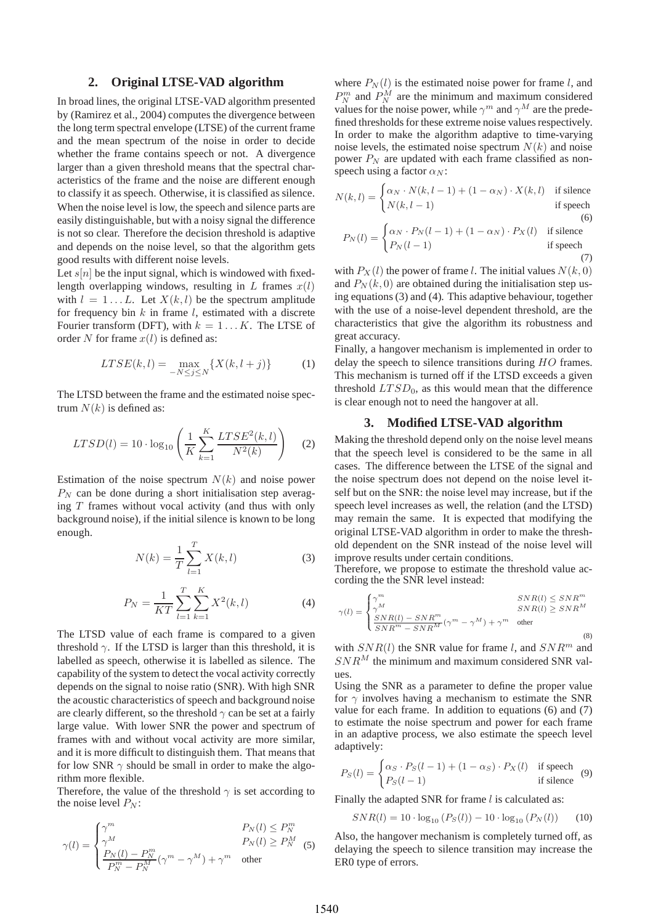### **2. Original LTSE-VAD algorithm**

In broad lines, the original LTSE-VAD algorithm presented by (Ramirez et al., 2004) computes the divergence between the long term spectral envelope (LTSE) of the current frame and the mean spectrum of the noise in order to decide whether the frame contains speech or not. A divergence larger than a given threshold means that the spectral characteristics of the frame and the noise are different enough to classify it as speech. Otherwise, it is classified as silence. When the noise level is low, the speech and silence parts are easily distinguishable, but with a noisy signal the difference is not so clear. Therefore the decision threshold is adaptive and depends on the noise level, so that the algorithm gets good results with different noise levels.

Let  $s[n]$  be the input signal, which is windowed with fixedlength overlapping windows, resulting in L frames  $x(l)$ with  $l = 1...L$ . Let  $X(k, l)$  be the spectrum amplitude for frequency bin  $k$  in frame  $l$ , estimated with a discrete Fourier transform (DFT), with  $k = 1...K$ . The LTSE of order N for frame  $x(l)$  is defined as:

$$
LTSE(k, l) = \max_{-N \le j \le N} \{ X(k, l+j) \}
$$
 (1)

The LTSD between the frame and the estimated noise spectrum  $N(k)$  is defined as:

$$
LTSD(l) = 10 \cdot \log_{10} \left( \frac{1}{K} \sum_{k=1}^{K} \frac{LTSE^{2}(k, l)}{N^{2}(k)} \right) \quad (2)
$$

Estimation of the noise spectrum  $N(k)$  and noise power  $P_N$  can be done during a short initialisation step averaging  $T$  frames without vocal activity (and thus with only background noise), if the initial silence is known to be long enough.

$$
N(k) = \frac{1}{T} \sum_{l=1}^{T} X(k, l)
$$
 (3)

$$
P_N = \frac{1}{KT} \sum_{l=1}^{T} \sum_{k=1}^{K} X^2(k, l)
$$
 (4)

The LTSD value of each frame is compared to a given threshold  $\gamma$ . If the LTSD is larger than this threshold, it is labelled as speech, otherwise it is labelled as silence. The capability of the system to detect the vocal activity correctly depends on the signal to noise ratio (SNR). With high SNR the acoustic characteristics of speech and background noise are clearly different, so the threshold  $\gamma$  can be set at a fairly large value. With lower SNR the power and spectrum of frames with and without vocal activity are more similar, and it is more difficult to distinguish them. That means that for low SNR  $\gamma$  should be small in order to make the algorithm more flexible.

Therefore, the value of the threshold  $\gamma$  is set according to the noise level  $P_N$ :

$$
\gamma(l) = \begin{cases} \gamma^m & P_N(l) \le P_N^m \\ \gamma^M & P_N(l) \ge P_N^M \\ \frac{P_N(l) - P_N^m}{P_N^m - P_N^M} (\gamma^m - \gamma^M) + \gamma^m & \text{other} \end{cases}
$$
 (5)

where  $P_N(l)$  is the estimated noise power for frame l, and  $P_N^m$  and  $P_N^M$  are the minimum and maximum considered values for the noise power, while  $\gamma^m$  and  $\gamma^M$  are the predefined thresholds for these extreme noise values respectively. In order to make the algorithm adaptive to time-varying noise levels, the estimated noise spectrum  $N(k)$  and noise power  $P_N$  are updated with each frame classified as nonspeech using a factor  $\alpha_N$ :

$$
N(k,l) = \begin{cases} \alpha_N \cdot N(k,l-1) + (1 - \alpha_N) \cdot X(k,l) & \text{if silence} \\ N(k,l-1) & \text{if speech} \end{cases}
$$
  
(6)  

$$
P_N(l) = \begin{cases} \alpha_N \cdot P_N(l-1) + (1 - \alpha_N) \cdot P_X(l) & \text{if silence} \\ P_N(l-1) & \text{if speech} \end{cases}
$$

(7) with  $P_X(l)$  the power of frame l. The initial values  $N(k, 0)$ and  $P_N(k, 0)$  are obtained during the initialisation step using equations (3) and (4). This adaptive behaviour, together with the use of a noise-level dependent threshold, are the characteristics that give the algorithm its robustness and great accuracy.

Finally, a hangover mechanism is implemented in order to delay the speech to silence transitions during  $HO$  frames. This mechanism is turned off if the LTSD exceeds a given threshold  $LTSD<sub>0</sub>$ , as this would mean that the difference is clear enough not to need the hangover at all.

#### **3. Modified LTSE-VAD algorithm**

Making the threshold depend only on the noise level means that the speech level is considered to be the same in all cases. The difference between the LTSE of the signal and the noise spectrum does not depend on the noise level itself but on the SNR: the noise level may increase, but if the speech level increases as well, the relation (and the LTSD) may remain the same. It is expected that modifying the original LTSE-VAD algorithm in order to make the threshold dependent on the SNR instead of the noise level will improve results under certain conditions.

Therefore, we propose to estimate the threshold value according the the SNR level instead:

$$
\gamma(l) = \begin{cases} \gamma^m & SNR(l) \leq SNR^m\\ \gamma^M & SNR(l) \geq SNR^M\\ \frac{SNR(l) - SNR^m}{SNR^m - SNR^M} (\gamma^m - \gamma^M) + \gamma^m & \text{other} \end{cases}
$$
(8)

with  $SNR(l)$  the SNR value for frame l, and  $SNR^m$  and  $SNR<sup>M</sup>$  the minimum and maximum considered SNR values.

Using the SNR as a parameter to define the proper value for  $\gamma$  involves having a mechanism to estimate the SNR value for each frame. In addition to equations (6) and (7) to estimate the noise spectrum and power for each frame in an adaptive process, we also estimate the speech level adaptively:

$$
P_S(l) = \begin{cases} \alpha_S \cdot P_S(l-1) + (1 - \alpha_S) \cdot P_X(l) & \text{if speech} \\ P_S(l-1) & \text{if silence} \end{cases}
$$
 (9)

Finally the adapted SNR for frame  $l$  is calculated as:

$$
SNR(l) = 10 \cdot \log_{10} (P_S(l)) - 10 \cdot \log_{10} (P_N(l)) \tag{10}
$$

Also, the hangover mechanism is completely turned off, as delaying the speech to silence transition may increase the ER0 type of errors.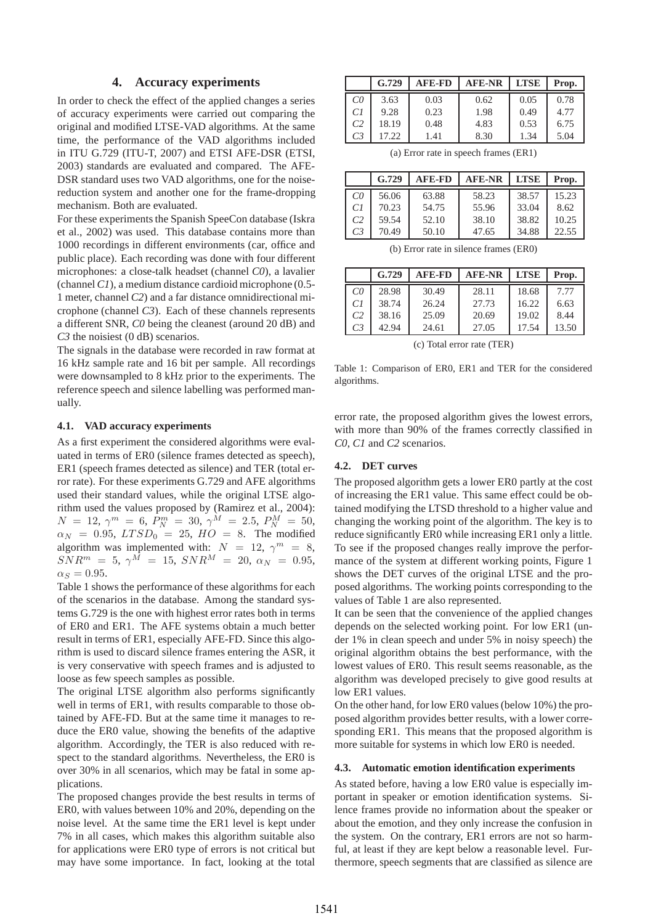## **4. Accuracy experiments**

In order to check the effect of the applied changes a series of accuracy experiments were carried out comparing the original and modified LTSE-VAD algorithms. At the same time, the performance of the VAD algorithms included in ITU G.729 (ITU-T, 2007) and ETSI AFE-DSR (ETSI, 2003) standards are evaluated and compared. The AFE-DSR standard uses two VAD algorithms, one for the noisereduction system and another one for the frame-dropping mechanism. Both are evaluated.

For these experiments the Spanish SpeeCon database (Iskra et al., 2002) was used. This database contains more than 1000 recordings in different environments (car, office and public place). Each recording was done with four different microphones: a close-talk headset (channel *C0*), a lavalier (channel*C1*), a medium distance cardioid microphone (0.5- 1 meter, channel *C2*) and a far distance omnidirectional microphone (channel *C3*). Each of these channels represents a different SNR, *C0* being the cleanest (around 20 dB) and *C3* the noisiest (0 dB) scenarios.

The signals in the database were recorded in raw format at 16 kHz sample rate and 16 bit per sample. All recordings were downsampled to 8 kHz prior to the experiments. The reference speech and silence labelling was performed manually.

#### **4.1. VAD accuracy experiments**

As a first experiment the considered algorithms were evaluated in terms of ER0 (silence frames detected as speech), ER1 (speech frames detected as silence) and TER (total error rate). For these experiments G.729 and AFE algorithms used their standard values, while the original LTSE algorithm used the values proposed by (Ramirez et al., 2004):  $N = 12, \, \gamma^m = 6, \, P^m_N = 30, \, \gamma^M = 2.5, \, P^M_N = 50,$  $\alpha_N = 0.95, LTSD_0 = 25, HO = 8.$  The modified algorithm was implemented with:  $N = 12$ ,  $\gamma^m = 8$ ,  $SNR^m = 5, \ \gamma^M = 15, \ SNR^M = 20, \ \alpha_N = 0.95,$  $\alpha_S = 0.95$ .

Table 1 shows the performance of these algorithms for each of the scenarios in the database. Among the standard systems G.729 is the one with highest error rates both in terms of ER0 and ER1. The AFE systems obtain a much better result in terms of ER1, especially AFE-FD. Since this algorithm is used to discard silence frames entering the ASR, it is very conservative with speech frames and is adjusted to loose as few speech samples as possible.

The original LTSE algorithm also performs significantly well in terms of ER1, with results comparable to those obtained by AFE-FD. But at the same time it manages to reduce the ER0 value, showing the benefits of the adaptive algorithm. Accordingly, the TER is also reduced with respect to the standard algorithms. Nevertheless, the ER0 is over 30% in all scenarios, which may be fatal in some applications.

The proposed changes provide the best results in terms of ER0, with values between 10% and 20%, depending on the noise level. At the same time the ER1 level is kept under 7% in all cases, which makes this algorithm suitable also for applications were ER0 type of errors is not critical but may have some importance. In fact, looking at the total

|                | G.729 | <b>AFE-FD</b> | <b>AFE-NR</b> | <b>LTSE</b> | Prop. |
|----------------|-------|---------------|---------------|-------------|-------|
| CO             | 3.63  | 0.03          | 0.62          | 0.05        | 0.78  |
| CI             | 9.28  | 0.23          | 1.98          | 0.49        | 4.77  |
| C <sub>2</sub> | 18.19 | 0.48          | 4.83          | 0.53        | 6.75  |
| C <sub>3</sub> | 17.22 | 1.41          | 8.30          | 1.34        | 5.04  |

(a) Error rate in speech frames (ER1)

|                | G.729 | <b>AFE-FD</b> | <b>AFE-NR</b> | <b>LTSE</b> | Prop. |
|----------------|-------|---------------|---------------|-------------|-------|
| $C\Omega$      | 56.06 | 63.88         | 58.23         | 38.57       | 15.23 |
| CI             | 70.23 | 54.75         | 55.96         | 33.04       | 8.62  |
| C <sub>2</sub> | 59.54 | 52.10         | 38.10         | 38.82       | 10.25 |
| C <sub>3</sub> | 70.49 | 50.10         | 47.65         | 34.88       | 22.55 |

(b) Error rate in silence frames (ER0)

|                | G.729 | <b>AFE-FD</b> | <b>AFE-NR</b> | <b>LTSE</b> | Prop. |
|----------------|-------|---------------|---------------|-------------|-------|
| CO             | 28.98 | 30.49         | 28.11         | 18.68       | 7.77  |
| CI             | 38.74 | 26.24         | 27.73         | 16.22       | 6.63  |
| C <sub>2</sub> | 38.16 | 25.09         | 20.69         | 19.02       | 8.44  |
| C <sub>3</sub> | 42.94 | 24.61         | 27.05         | 17.54       | 13.50 |

(c) Total error rate (TER)

Table 1: Comparison of ER0, ER1 and TER for the considered algorithms.

error rate, the proposed algorithm gives the lowest errors, with more than 90% of the frames correctly classified in *C0*, *C1* and *C2* scenarios.

#### **4.2. DET curves**

The proposed algorithm gets a lower ER0 partly at the cost of increasing the ER1 value. This same effect could be obtained modifying the LTSD threshold to a higher value and changing the working point of the algorithm. The key is to reduce significantly ER0 while increasing ER1 only a little. To see if the proposed changes really improve the performance of the system at different working points, Figure 1 shows the DET curves of the original LTSE and the proposed algorithms. The working points corresponding to the values of Table 1 are also represented.

It can be seen that the convenience of the applied changes depends on the selected working point. For low ER1 (under 1% in clean speech and under 5% in noisy speech) the original algorithm obtains the best performance, with the lowest values of ER0. This result seems reasonable, as the algorithm was developed precisely to give good results at low ER1 values.

On the other hand, for low ER0 values (below 10%) the proposed algorithm provides better results, with a lower corresponding ER1. This means that the proposed algorithm is more suitable for systems in which low ER0 is needed.

#### **4.3. Automatic emotion identification experiments**

As stated before, having a low ER0 value is especially important in speaker or emotion identification systems. Silence frames provide no information about the speaker or about the emotion, and they only increase the confusion in the system. On the contrary, ER1 errors are not so harmful, at least if they are kept below a reasonable level. Furthermore, speech segments that are classified as silence are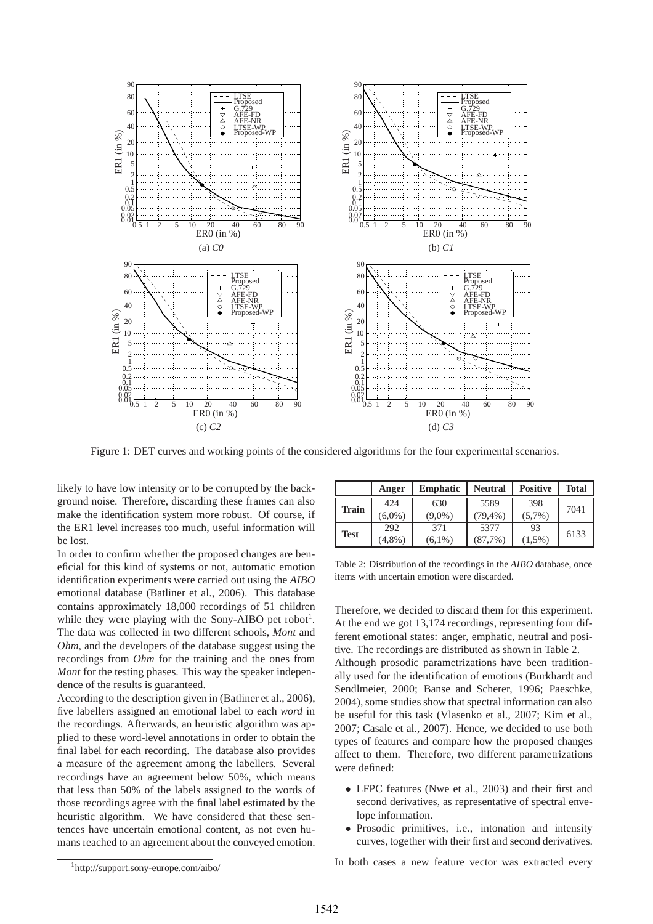

Figure 1: DET curves and working points of the considered algorithms for the four experimental scenarios.

likely to have low intensity or to be corrupted by the background noise. Therefore, discarding these frames can also make the identification system more robust. Of course, if the ER1 level increases too much, useful information will be lost.

In order to confirm whether the proposed changes are beneficial for this kind of systems or not, automatic emotion identification experiments were carried out using the *AIBO* emotional database (Batliner et al., 2006). This database contains approximately 18,000 recordings of 51 children while they were playing with the Sony-AIBO pet robot<sup>1</sup>. The data was collected in two different schools, *Mont* and *Ohm*, and the developers of the database suggest using the recordings from *Ohm* for the training and the ones from *Mont* for the testing phases. This way the speaker independence of the results is guaranteed.

According to the description given in (Batliner et al., 2006), five labellers assigned an emotional label to each *word* in the recordings. Afterwards, an heuristic algorithm was applied to these word-level annotations in order to obtain the final label for each recording. The database also provides a measure of the agreement among the labellers. Several recordings have an agreement below 50%, which means that less than 50% of the labels assigned to the words of those recordings agree with the final label estimated by the heuristic algorithm. We have considered that these sentences have uncertain emotional content, as not even humans reached to an agreement about the conveyed emotion.

|              | Anger            | <b>Emphatic</b>  | <b>Neutral</b>      | <b>Positive</b>  | <b>Total</b> |
|--------------|------------------|------------------|---------------------|------------------|--------------|
| <b>Train</b> | 424<br>$(6.0\%)$ | 630<br>$(9.0\%)$ | 5589<br>$(79, 4\%)$ | 398<br>$(5,7\%)$ | 7041         |
| <b>Test</b>  | 292<br>$(4,8\%)$ | 371<br>$(6.1\%)$ | 5377<br>(87,7%)     | 93<br>$(1.5\%)$  | 6133         |

Table 2: Distribution of the recordings in the *AIBO* database, once items with uncertain emotion were discarded.

Therefore, we decided to discard them for this experiment. At the end we got 13,174 recordings, representing four different emotional states: anger, emphatic, neutral and positive. The recordings are distributed as shown in Table 2. Although prosodic parametrizations have been traditionally used for the identification of emotions (Burkhardt and Sendlmeier, 2000; Banse and Scherer, 1996; Paeschke, 2004), some studies show that spectral information can also be useful for this task (Vlasenko et al., 2007; Kim et al., 2007; Casale et al., 2007). Hence, we decided to use both types of features and compare how the proposed changes affect to them. Therefore, two different parametrizations were defined:

- LFPC features (Nwe et al., 2003) and their first and second derivatives, as representative of spectral envelope information.
- Prosodic primitives, i.e., intonation and intensity curves, together with their first and second derivatives.

In both cases a new feature vector was extracted every

<sup>1</sup> http://support.sony-europe.com/aibo/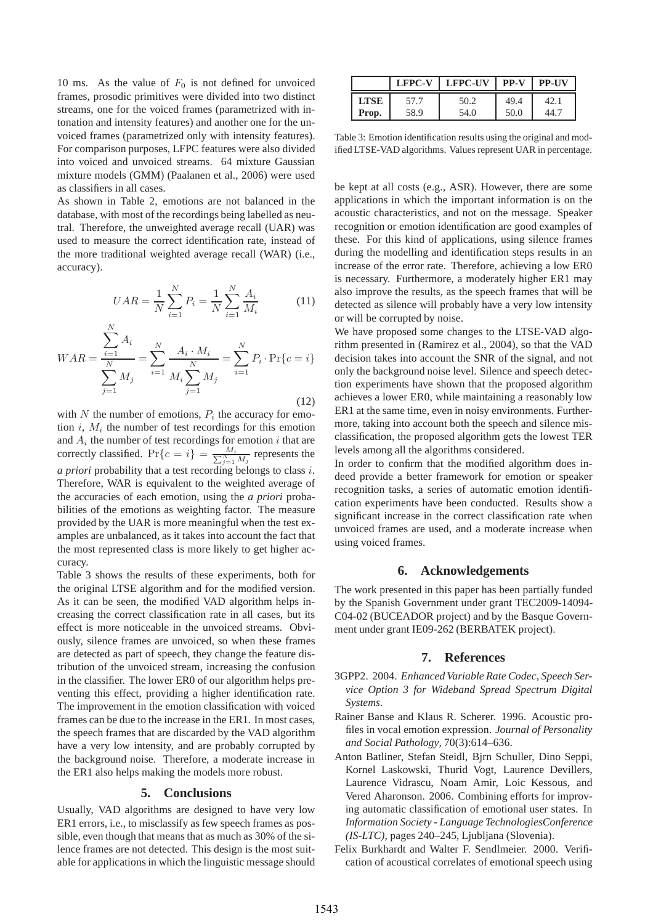10 ms. As the value of  $F_0$  is not defined for unvoiced frames, prosodic primitives were divided into two distinct streams, one for the voiced frames (parametrized with intonation and intensity features) and another one for the unvoiced frames (parametrized only with intensity features). For comparison purposes, LFPC features were also divided into voiced and unvoiced streams. 64 mixture Gaussian mixture models (GMM) (Paalanen et al., 2006) were used as classifiers in all cases.

As shown in Table 2, emotions are not balanced in the database, with most of the recordings being labelled as neutral. Therefore, the unweighted average recall (UAR) was used to measure the correct identification rate, instead of the more traditional weighted average recall (WAR) (i.e., accuracy).

$$
UAR = \frac{1}{N} \sum_{i=1}^{N} P_i = \frac{1}{N} \sum_{i=1}^{N} \frac{A_i}{M_i}
$$
 (11)

$$
WAR = \frac{\sum_{i=1}^{N} A_i}{\sum_{j=1}^{N} M_j} = \sum_{i=1}^{N} \frac{A_i \cdot M_i}{M_i \sum_{j=1}^{N} M_j} = \sum_{i=1}^{N} P_i \cdot \Pr\{c = i\}
$$
\n(12)

N

with N the number of emotions,  $P_i$  the accuracy for emotion  $i$ ,  $M_i$  the number of test recordings for this emotion and  $A_i$  the number of test recordings for emotion i that are correctly classified.  $Pr\{c = i\} = \frac{M_i}{\sum_{j=1}^{N} M_j}$  represents the *a priori* probability that a test recording belongs to class i. Therefore, WAR is equivalent to the weighted average of the accuracies of each emotion, using the *a priori* probabilities of the emotions as weighting factor. The measure provided by the UAR is more meaningful when the test examples are unbalanced, as it takes into account the fact that the most represented class is more likely to get higher accuracy.

Table 3 shows the results of these experiments, both for the original LTSE algorithm and for the modified version. As it can be seen, the modified VAD algorithm helps increasing the correct classification rate in all cases, but its effect is more noticeable in the unvoiced streams. Obviously, silence frames are unvoiced, so when these frames are detected as part of speech, they change the feature distribution of the unvoiced stream, increasing the confusion in the classifier. The lower ER0 of our algorithm helps preventing this effect, providing a higher identification rate. The improvement in the emotion classification with voiced frames can be due to the increase in the ER1. In most cases, the speech frames that are discarded by the VAD algorithm have a very low intensity, and are probably corrupted by the background noise. Therefore, a moderate increase in the ER1 also helps making the models more robust.

#### **5. Conclusions**

Usually, VAD algorithms are designed to have very low ER1 errors, i.e., to misclassify as few speech frames as possible, even though that means that as much as 30% of the silence frames are not detected. This design is the most suitable for applications in which the linguistic message should

|             | <b>LFPC-V</b> | <b>LFPC-UV</b> | <b>PP-V</b> | <b>PP-UV</b> |
|-------------|---------------|----------------|-------------|--------------|
| <b>LTSE</b> | 57.7          | 50.2           | 49.4        | 42.1         |
| Prop.       | 58.9          | 54.0           | 50.0        | 44.1         |

Table 3: Emotion identification results using the original and modified LTSE-VAD algorithms. Values represent UAR in percentage.

be kept at all costs (e.g., ASR). However, there are some applications in which the important information is on the acoustic characteristics, and not on the message. Speaker recognition or emotion identification are good examples of these. For this kind of applications, using silence frames during the modelling and identification steps results in an increase of the error rate. Therefore, achieving a low ER0 is necessary. Furthermore, a moderately higher ER1 may also improve the results, as the speech frames that will be detected as silence will probably have a very low intensity or will be corrupted by noise.

We have proposed some changes to the LTSE-VAD algorithm presented in (Ramirez et al., 2004), so that the VAD decision takes into account the SNR of the signal, and not only the background noise level. Silence and speech detection experiments have shown that the proposed algorithm achieves a lower ER0, while maintaining a reasonably low ER1 at the same time, even in noisy environments. Furthermore, taking into account both the speech and silence misclassification, the proposed algorithm gets the lowest TER levels among all the algorithms considered.

In order to confirm that the modified algorithm does indeed provide a better framework for emotion or speaker recognition tasks, a series of automatic emotion identification experiments have been conducted. Results show a significant increase in the correct classification rate when unvoiced frames are used, and a moderate increase when using voiced frames.

### **6. Acknowledgements**

The work presented in this paper has been partially funded by the Spanish Government under grant TEC2009-14094- C04-02 (BUCEADOR project) and by the Basque Government under grant IE09-262 (BERBATEK project).

#### **7. References**

- 3GPP2. 2004. *Enhanced Variable Rate Codec, Speech Service Option 3 for Wideband Spread Spectrum Digital Systems*.
- Rainer Banse and Klaus R. Scherer. 1996. Acoustic profiles in vocal emotion expression. *Journal of Personality and Social Pathology*, 70(3):614–636.
- Anton Batliner, Stefan Steidl, Bjrn Schuller, Dino Seppi, Kornel Laskowski, Thurid Vogt, Laurence Devillers, Laurence Vidrascu, Noam Amir, Loic Kessous, and Vered Aharonson. 2006. Combining efforts for improving automatic classification of emotional user states. In *Information Society - Language TechnologiesConference (IS-LTC)*, pages 240–245, Ljubljana (Slovenia).
- Felix Burkhardt and Walter F. Sendlmeier. 2000. Verification of acoustical correlates of emotional speech using